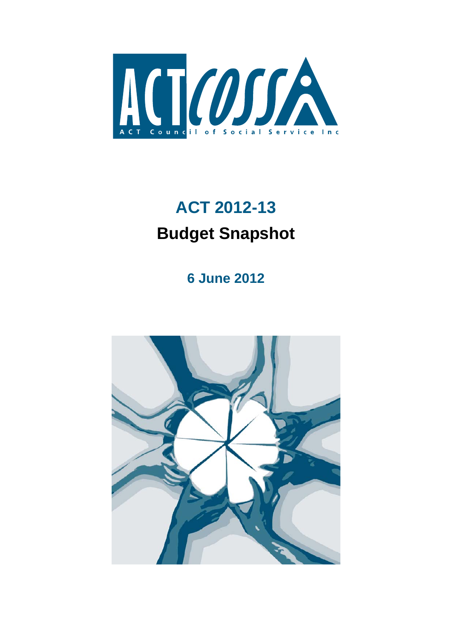

# **ACT 2012-13 Budget Snapshot**

**6 June 2012** 

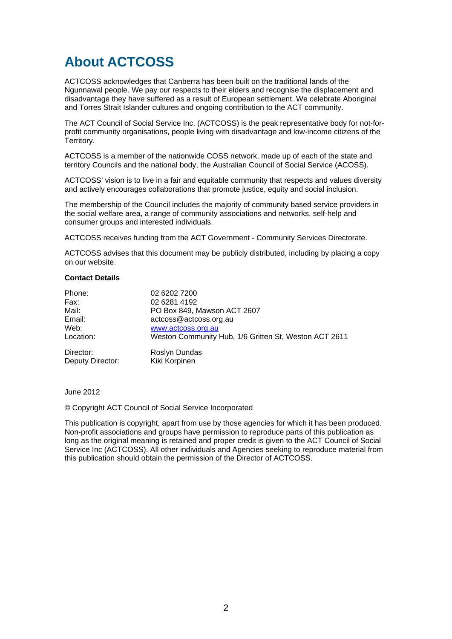## **About ACTCOSS**

ACTCOSS acknowledges that Canberra has been built on the traditional lands of the Ngunnawal people. We pay our respects to their elders and recognise the displacement and disadvantage they have suffered as a result of European settlement. We celebrate Aboriginal and Torres Strait Islander cultures and ongoing contribution to the ACT community.

The ACT Council of Social Service Inc. (ACTCOSS) is the peak representative body for not-forprofit community organisations, people living with disadvantage and low-income citizens of the Territory.

ACTCOSS is a member of the nationwide COSS network, made up of each of the state and territory Councils and the national body, the Australian Council of Social Service (ACOSS).

ACTCOSS' vision is to live in a fair and equitable community that respects and values diversity and actively encourages collaborations that promote justice, equity and social inclusion.

The membership of the Council includes the majority of community based service providers in the social welfare area, a range of community associations and networks, self-help and consumer groups and interested individuals.

ACTCOSS receives funding from the ACT Government - Community Services Directorate.

ACTCOSS advises that this document may be publicly distributed, including by placing a copy on our website.

#### **Contact Details**

| Phone:           | 02 6202 7200                                          |
|------------------|-------------------------------------------------------|
| Fax:             | 02 6281 4192                                          |
| Mail:            | PO Box 849, Mawson ACT 2607                           |
| Email:           | actcoss@actcoss.org.au                                |
| Web:             | www.actcoss.org.au                                    |
| Location:        | Weston Community Hub, 1/6 Gritten St, Weston ACT 2611 |
| Director:        | Roslyn Dundas                                         |
| Deputy Director: | Kiki Korpinen                                         |

June 2012

© Copyright ACT Council of Social Service Incorporated

This publication is copyright, apart from use by those agencies for which it has been produced. Non-profit associations and groups have permission to reproduce parts of this publication as long as the original meaning is retained and proper credit is given to the ACT Council of Social Service Inc (ACTCOSS). All other individuals and Agencies seeking to reproduce material from this publication should obtain the permission of the Director of ACTCOSS.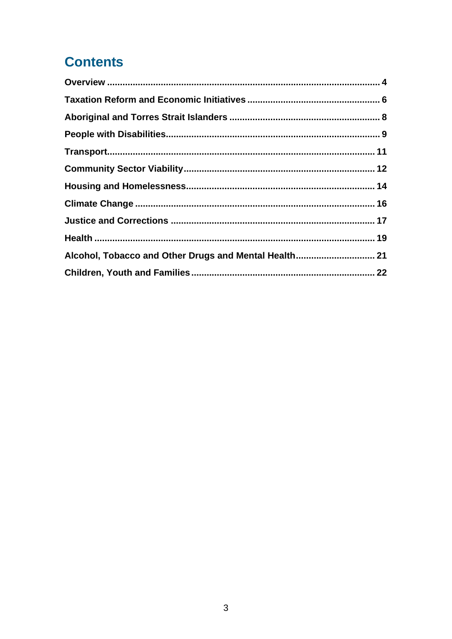## **Contents**

| Alcohol, Tobacco and Other Drugs and Mental Health 21 |  |
|-------------------------------------------------------|--|
|                                                       |  |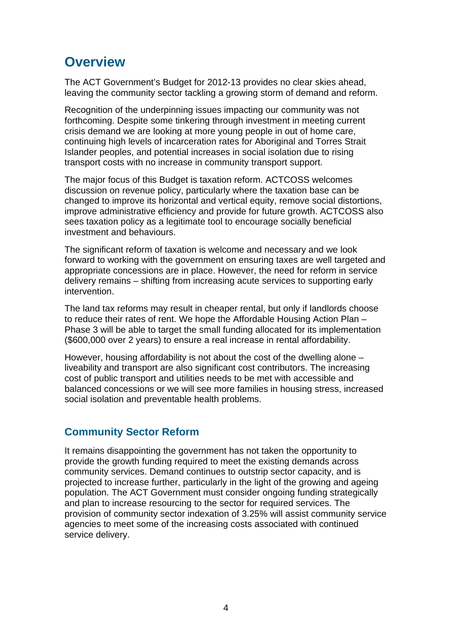## <span id="page-3-0"></span>**Overview**

The ACT Government's Budget for 2012-13 provides no clear skies ahead, leaving the community sector tackling a growing storm of demand and reform.

Recognition of the underpinning issues impacting our community was not forthcoming. Despite some tinkering through investment in meeting current crisis demand we are looking at more young people in out of home care, continuing high levels of incarceration rates for Aboriginal and Torres Strait Islander peoples, and potential increases in social isolation due to rising transport costs with no increase in community transport support.

The major focus of this Budget is taxation reform. ACTCOSS welcomes discussion on revenue policy, particularly where the taxation base can be changed to improve its horizontal and vertical equity, remove social distortions, improve administrative efficiency and provide for future growth. ACTCOSS also sees taxation policy as a legitimate tool to encourage socially beneficial investment and behaviours.

The significant reform of taxation is welcome and necessary and we look forward to working with the government on ensuring taxes are well targeted and appropriate concessions are in place. However, the need for reform in service delivery remains – shifting from increasing acute services to supporting early intervention.

The land tax reforms may result in cheaper rental, but only if landlords choose to reduce their rates of rent. We hope the Affordable Housing Action Plan – Phase 3 will be able to target the small funding allocated for its implementation (\$600,000 over 2 years) to ensure a real increase in rental affordability.

However, housing affordability is not about the cost of the dwelling alone – liveability and transport are also significant cost contributors. The increasing cost of public transport and utilities needs to be met with accessible and balanced concessions or we will see more families in housing stress, increased social isolation and preventable health problems.

### **Community Sector Reform**

It remains disappointing the government has not taken the opportunity to provide the growth funding required to meet the existing demands across community services. Demand continues to outstrip sector capacity, and is projected to increase further, particularly in the light of the growing and ageing population. The ACT Government must consider ongoing funding strategically and plan to increase resourcing to the sector for required services. The provision of community sector indexation of 3.25% will assist community service agencies to meet some of the increasing costs associated with continued service delivery.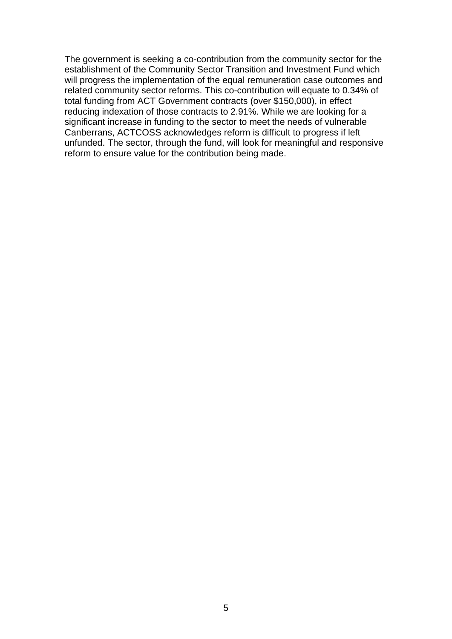The government is seeking a co-contribution from the community sector for the establishment of the Community Sector Transition and Investment Fund which will progress the implementation of the equal remuneration case outcomes and related community sector reforms. This co-contribution will equate to 0.34% of total funding from ACT Government contracts (over \$150,000), in effect reducing indexation of those contracts to 2.91%. While we are looking for a significant increase in funding to the sector to meet the needs of vulnerable Canberrans, ACTCOSS acknowledges reform is difficult to progress if left unfunded. The sector, through the fund, will look for meaningful and responsive reform to ensure value for the contribution being made.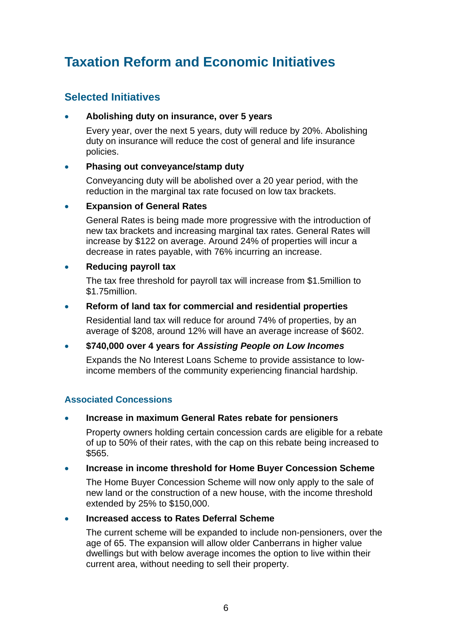## <span id="page-5-0"></span>**Taxation Reform and Economic Initiatives**

### **Selected Initiatives**

### **Abolishing duty on insurance, over 5 years**

Every year, over the next 5 years, duty will reduce by 20%. Abolishing duty on insurance will reduce the cost of general and life insurance policies.

### **Phasing out conveyance/stamp duty**

Conveyancing duty will be abolished over a 20 year period, with the reduction in the marginal tax rate focused on low tax brackets.

### **Expansion of General Rates**

General Rates is being made more progressive with the introduction of new tax brackets and increasing marginal tax rates. General Rates will increase by \$122 on average. Around 24% of properties will incur a decrease in rates payable, with 76% incurring an increase.

### **Reducing payroll tax**

The tax free threshold for payroll tax will increase from \$1.5million to \$1.75million.

#### **Reform of land tax for commercial and residential properties**

Residential land tax will reduce for around 74% of properties, by an average of \$208, around 12% will have an average increase of \$602.

### **\$740,000 over 4 years for** *Assisting People on Low Incomes*

Expands the No Interest Loans Scheme to provide assistance to lowincome members of the community experiencing financial hardship.

### **Associated Concessions**

### **Increase in maximum General Rates rebate for pensioners**

Property owners holding certain concession cards are eligible for a rebate of up to 50% of their rates, with the cap on this rebate being increased to \$565.

#### **Increase in income threshold for Home Buyer Concession Scheme**

The Home Buyer Concession Scheme will now only apply to the sale of new land or the construction of a new house, with the income threshold extended by 25% to \$150,000.

#### **Increased access to Rates Deferral Scheme**

The current scheme will be expanded to include non-pensioners, over the age of 65. The expansion will allow older Canberrans in higher value dwellings but with below average incomes the option to live within their current area, without needing to sell their property.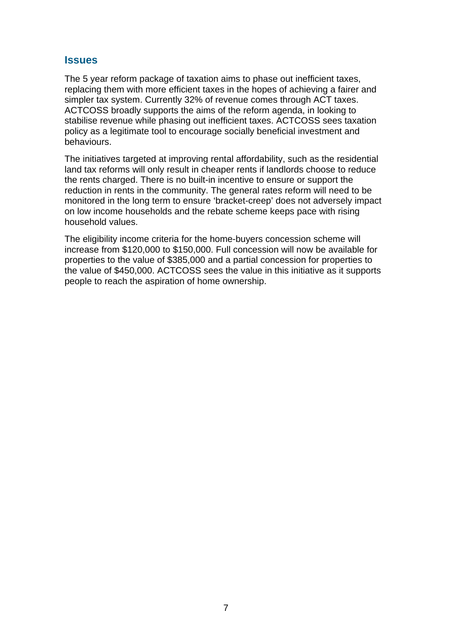### **Issues**

The 5 year reform package of taxation aims to phase out inefficient taxes, replacing them with more efficient taxes in the hopes of achieving a fairer and simpler tax system. Currently 32% of revenue comes through ACT taxes. ACTCOSS broadly supports the aims of the reform agenda, in looking to stabilise revenue while phasing out inefficient taxes. ACTCOSS sees taxation policy as a legitimate tool to encourage socially beneficial investment and behaviours.

The initiatives targeted at improving rental affordability, such as the residential land tax reforms will only result in cheaper rents if landlords choose to reduce the rents charged. There is no built-in incentive to ensure or support the reduction in rents in the community. The general rates reform will need to be monitored in the long term to ensure 'bracket-creep' does not adversely impact on low income households and the rebate scheme keeps pace with rising household values.

The eligibility income criteria for the home-buyers concession scheme will increase from \$120,000 to \$150,000. Full concession will now be available for properties to the value of \$385,000 and a partial concession for properties to the value of \$450,000. ACTCOSS sees the value in this initiative as it supports people to reach the aspiration of home ownership.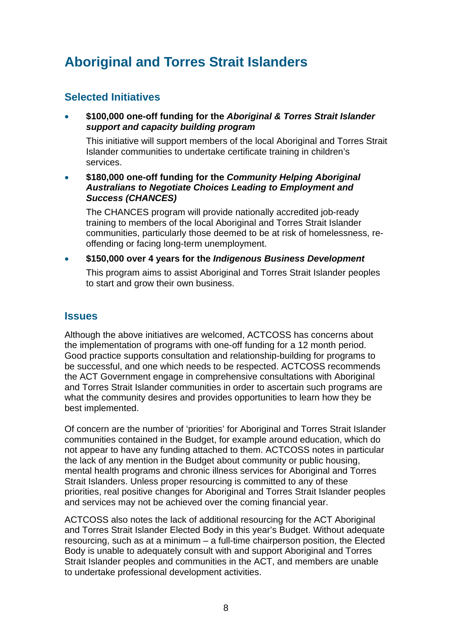## <span id="page-7-0"></span>**Aboriginal and Torres Strait Islanders**

### **Selected Initiatives**

 **\$100,000 one-off funding for the** *Aboriginal & Torres Strait Islander support and capacity building program*

This initiative will support members of the local Aboriginal and Torres Strait Islander communities to undertake certificate training in children's services.

 **\$180,000 one-off funding for the** *Community Helping Aboriginal Australians to Negotiate Choices Leading to Employment and Success (CHANCES)* 

The CHANCES program will provide nationally accredited job-ready training to members of the local Aboriginal and Torres Strait Islander communities, particularly those deemed to be at risk of homelessness, reoffending or facing long-term unemployment.

**\$150,000 over 4 years for the** *Indigenous Business Development* 

This program aims to assist Aboriginal and Torres Strait Islander peoples to start and grow their own business.

### **Issues**

Although the above initiatives are welcomed, ACTCOSS has concerns about the implementation of programs with one-off funding for a 12 month period. Good practice supports consultation and relationship-building for programs to be successful, and one which needs to be respected. ACTCOSS recommends the ACT Government engage in comprehensive consultations with Aboriginal and Torres Strait Islander communities in order to ascertain such programs are what the community desires and provides opportunities to learn how they be best implemented.

Of concern are the number of 'priorities' for Aboriginal and Torres Strait Islander communities contained in the Budget, for example around education, which do not appear to have any funding attached to them. ACTCOSS notes in particular the lack of any mention in the Budget about community or public housing, mental health programs and chronic illness services for Aboriginal and Torres Strait Islanders. Unless proper resourcing is committed to any of these priorities, real positive changes for Aboriginal and Torres Strait Islander peoples and services may not be achieved over the coming financial year.

ACTCOSS also notes the lack of additional resourcing for the ACT Aboriginal and Torres Strait Islander Elected Body in this year's Budget. Without adequate resourcing, such as at a minimum – a full-time chairperson position, the Elected Body is unable to adequately consult with and support Aboriginal and Torres Strait Islander peoples and communities in the ACT, and members are unable to undertake professional development activities.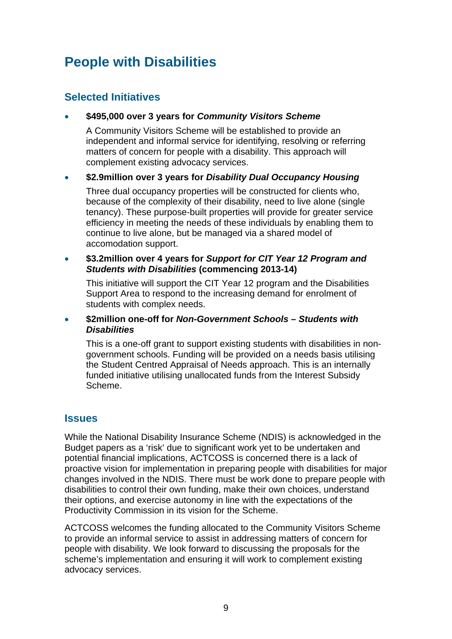## <span id="page-8-0"></span>**People with Disabilities**

### **Selected Initiatives**

### **\$495,000 over 3 years for** *Community Visitors Scheme*

A Community Visitors Scheme will be established to provide an independent and informal service for identifying, resolving or referring matters of concern for people with a disability. This approach will complement existing advocacy services.

### **\$2.9million over 3 years for** *Disability Dual Occupancy Housing*

Three dual occupancy properties will be constructed for clients who, because of the complexity of their disability, need to live alone (single tenancy). These purpose-built properties will provide for greater service efficiency in meeting the needs of these individuals by enabling them to continue to live alone, but be managed via a shared model of accomodation support.

#### **\$3.2million over 4 years for** *Support for CIT Year 12 Program and Students with Disabilities* **(commencing 2013-14)**

This initiative will support the CIT Year 12 program and the Disabilities Support Area to respond to the increasing demand for enrolment of students with complex needs.

#### **\$2million one-off for** *Non-Government Schools – Students with Disabilities*

This is a one-off grant to support existing students with disabilities in nongovernment schools. Funding will be provided on a needs basis utilising the Student Centred Appraisal of Needs approach. This is an internally funded initiative utilising unallocated funds from the Interest Subsidy Scheme.

### **Issues**

While the National Disability Insurance Scheme (NDIS) is acknowledged in the Budget papers as a 'risk' due to significant work yet to be undertaken and potential financial implications, ACTCOSS is concerned there is a lack of proactive vision for implementation in preparing people with disabilities for major changes involved in the NDIS. There must be work done to prepare people with disabilities to control their own funding, make their own choices, understand their options, and exercise autonomy in line with the expectations of the Productivity Commission in its vision for the Scheme.

ACTCOSS welcomes the funding allocated to the Community Visitors Scheme to provide an informal service to assist in addressing matters of concern for people with disability. We look forward to discussing the proposals for the scheme's implementation and ensuring it will work to complement existing advocacy services.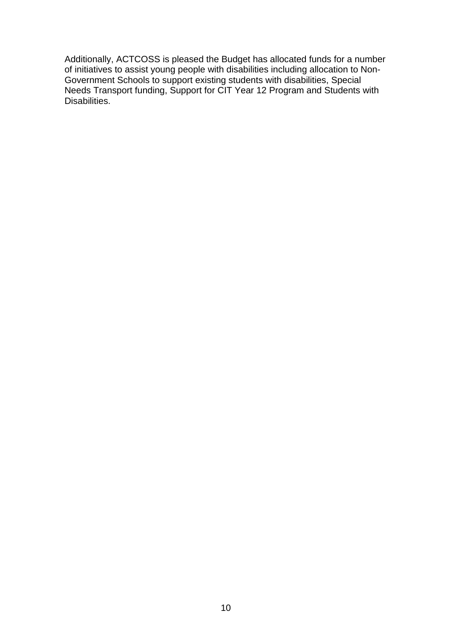Additionally, ACTCOSS is pleased the Budget has allocated funds for a number of initiatives to assist young people with disabilities including allocation to Non-Government Schools to support existing students with disabilities, Special Needs Transport funding, Support for CIT Year 12 Program and Students with Disabilities.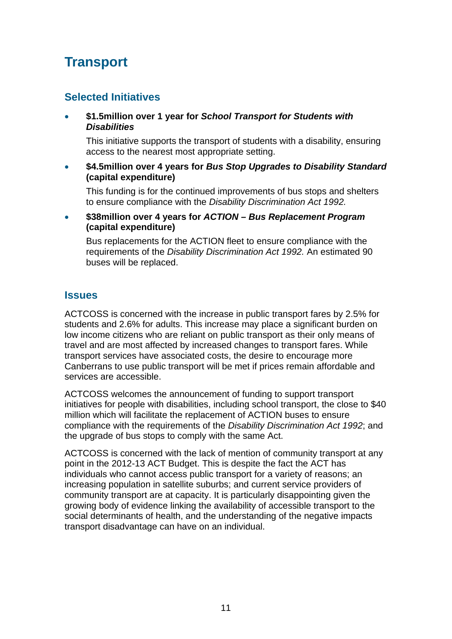## <span id="page-10-0"></span>**Transport**

### **Selected Initiatives**

 **\$1.5million over 1 year for** *School Transport for Students with Disabilities* 

This initiative supports the transport of students with a disability, ensuring access to the nearest most appropriate setting.

 **\$4.5million over 4 years for** *Bus Stop Upgrades to Disability Standard*  **(capital expenditure)** 

This funding is for the continued improvements of bus stops and shelters to ensure compliance with the *Disability Discrimination Act 1992.*

 **\$38million over 4 years for** *ACTION – Bus Replacement Program* **(capital expenditure)**

Bus replacements for the ACTION fleet to ensure compliance with the requirements of the *Disability Discrimination Act 1992.* An estimated 90 buses will be replaced.

### **Issues**

ACTCOSS is concerned with the increase in public transport fares by 2.5% for students and 2.6% for adults. This increase may place a significant burden on low income citizens who are reliant on public transport as their only means of travel and are most affected by increased changes to transport fares. While transport services have associated costs, the desire to encourage more Canberrans to use public transport will be met if prices remain affordable and services are accessible.

ACTCOSS welcomes the announcement of funding to support transport initiatives for people with disabilities, including school transport, the close to \$40 million which will facilitate the replacement of ACTION buses to ensure compliance with the requirements of the *Disability Discrimination Act 1992*; and the upgrade of bus stops to comply with the same Act.

ACTCOSS is concerned with the lack of mention of community transport at any point in the 2012-13 ACT Budget. This is despite the fact the ACT has individuals who cannot access public transport for a variety of reasons; an increasing population in satellite suburbs; and current service providers of community transport are at capacity. It is particularly disappointing given the growing body of evidence linking the availability of accessible transport to the social determinants of health, and the understanding of the negative impacts transport disadvantage can have on an individual.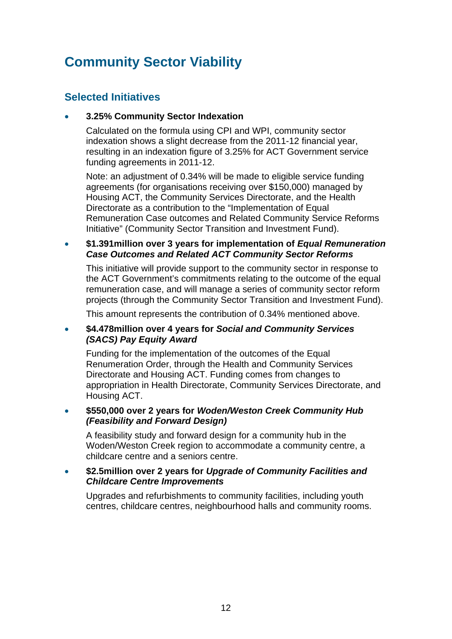## <span id="page-11-0"></span>**Community Sector Viability**

### **Selected Initiatives**

### **3.25% Community Sector Indexation**

Calculated on the formula using CPI and WPI, community sector indexation shows a slight decrease from the 2011-12 financial year, resulting in an indexation figure of 3.25% for ACT Government service funding agreements in 2011-12.

Note: an adjustment of 0.34% will be made to eligible service funding agreements (for organisations receiving over \$150,000) managed by Housing ACT, the Community Services Directorate, and the Health Directorate as a contribution to the "Implementation of Equal Remuneration Case outcomes and Related Community Service Reforms Initiative" (Community Sector Transition and Investment Fund).

#### **\$1.391 million over 3 years for implementation of** *Equal Remuneration Case Outcomes and Related ACT Community Sector Reforms*

This initiative will provide support to the community sector in response to the ACT Government's commitments relating to the outcome of the equal remuneration case, and will manage a series of community sector reform projects (through the Community Sector Transition and Investment Fund).

This amount represents the contribution of 0.34% mentioned above.

### **\$4.478million over 4 years for** *Social and Community Services (SACS) Pay Equity Award*

Funding for the implementation of the outcomes of the Equal Renumeration Order, through the Health and Community Services Directorate and Housing ACT. Funding comes from changes to appropriation in Health Directorate, Community Services Directorate, and Housing ACT.

### **\$550,000 over 2 years for** *Woden/Weston Creek Community Hub (Feasibility and Forward Design)*

A feasibility study and forward design for a community hub in the Woden/Weston Creek region to accommodate a community centre, a childcare centre and a seniors centre.

#### **\$2.5million over 2 years for** *Upgrade of Community Facilities and Childcare Centre Improvements*

Upgrades and refurbishments to community facilities, including youth centres, childcare centres, neighbourhood halls and community rooms.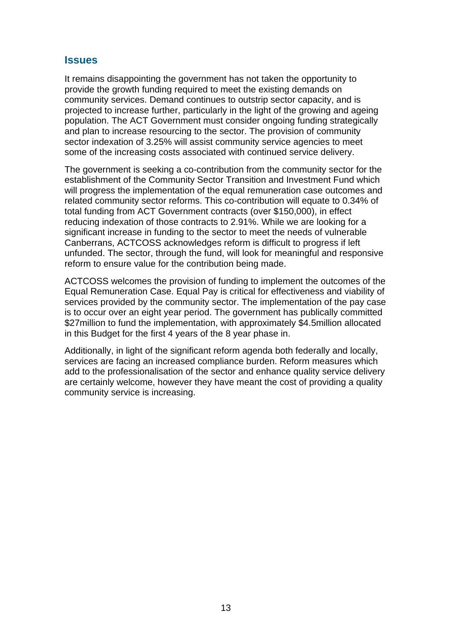### **Issues**

It remains disappointing the government has not taken the opportunity to provide the growth funding required to meet the existing demands on community services. Demand continues to outstrip sector capacity, and is projected to increase further, particularly in the light of the growing and ageing population. The ACT Government must consider ongoing funding strategically and plan to increase resourcing to the sector. The provision of community sector indexation of 3.25% will assist community service agencies to meet some of the increasing costs associated with continued service delivery.

The government is seeking a co-contribution from the community sector for the establishment of the Community Sector Transition and Investment Fund which will progress the implementation of the equal remuneration case outcomes and related community sector reforms. This co-contribution will equate to 0.34% of total funding from ACT Government contracts (over \$150,000), in effect reducing indexation of those contracts to 2.91%. While we are looking for a significant increase in funding to the sector to meet the needs of vulnerable Canberrans, ACTCOSS acknowledges reform is difficult to progress if left unfunded. The sector, through the fund, will look for meaningful and responsive reform to ensure value for the contribution being made.

ACTCOSS welcomes the provision of funding to implement the outcomes of the Equal Remuneration Case. Equal Pay is critical for effectiveness and viability of services provided by the community sector. The implementation of the pay case is to occur over an eight year period. The government has publically committed \$27 million to fund the implementation, with approximately \$4.5 million allocated in this Budget for the first 4 years of the 8 year phase in.

Additionally, in light of the significant reform agenda both federally and locally, services are facing an increased compliance burden. Reform measures which add to the professionalisation of the sector and enhance quality service delivery are certainly welcome, however they have meant the cost of providing a quality community service is increasing.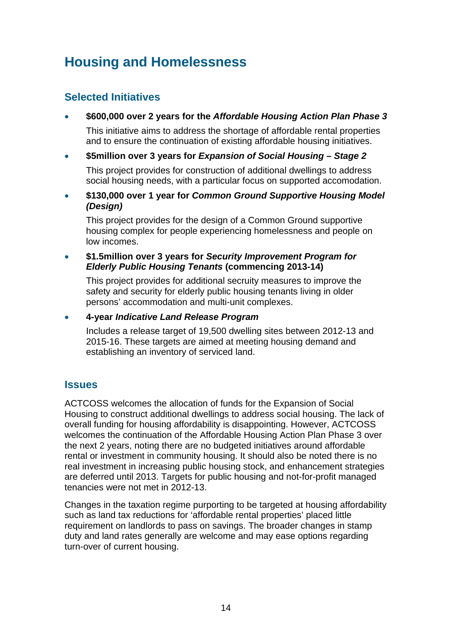## <span id="page-13-0"></span>**Housing and Homelessness**

### **Selected Initiatives**

**\$600,000 over 2 years for the** *Affordable Housing Action Plan Phase 3*

This initiative aims to address the shortage of affordable rental properties and to ensure the continuation of existing affordable housing initiatives.

### **\$5million over 3 years for** *Expansion of Social Housing – Stage 2*

This project provides for construction of additional dwellings to address social housing needs, with a particular focus on supported accomodation.

 **\$130,000 over 1 year for** *Common Ground Supportive Housing Model (Design)*

This project provides for the design of a Common Ground supportive housing complex for people experiencing homelessness and people on low incomes.

#### **\$1.5million over 3 years for** *Security Improvement Program for Elderly Public Housing Tenants* **(commencing 2013-14)**

This project provides for additional secruity measures to improve the safety and security for elderly public housing tenants living in older persons' accommodation and multi-unit complexes.

**4-year** *Indicative Land Release Program* 

Includes a release target of 19,500 dwelling sites between 2012-13 and 2015-16. These targets are aimed at meeting housing demand and establishing an inventory of serviced land.

### **Issues**

ACTCOSS welcomes the allocation of funds for the Expansion of Social Housing to construct additional dwellings to address social housing. The lack of overall funding for housing affordability is disappointing. However, ACTCOSS welcomes the continuation of the Affordable Housing Action Plan Phase 3 over the next 2 years, noting there are no budgeted initiatives around affordable rental or investment in community housing. It should also be noted there is no real investment in increasing public housing stock, and enhancement strategies are deferred until 2013. Targets for public housing and not-for-profit managed tenancies were not met in 2012-13.

Changes in the taxation regime purporting to be targeted at housing affordability such as land tax reductions for 'affordable rental properties' placed little requirement on landlords to pass on savings. The broader changes in stamp duty and land rates generally are welcome and may ease options regarding turn-over of current housing.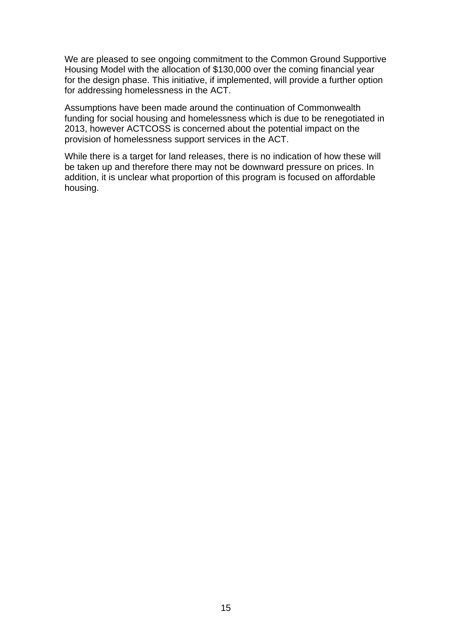We are pleased to see ongoing commitment to the Common Ground Supportive Housing Model with the allocation of \$130,000 over the coming financial year for the design phase. This initiative, if implemented, will provide a further option for addressing homelessness in the ACT.

Assumptions have been made around the continuation of Commonwealth funding for social housing and homelessness which is due to be renegotiated in 2013, however ACTCOSS is concerned about the potential impact on the provision of homelessness support services in the ACT.

While there is a target for land releases, there is no indication of how these will be taken up and therefore there may not be downward pressure on prices. In addition, it is unclear what proportion of this program is focused on affordable housing.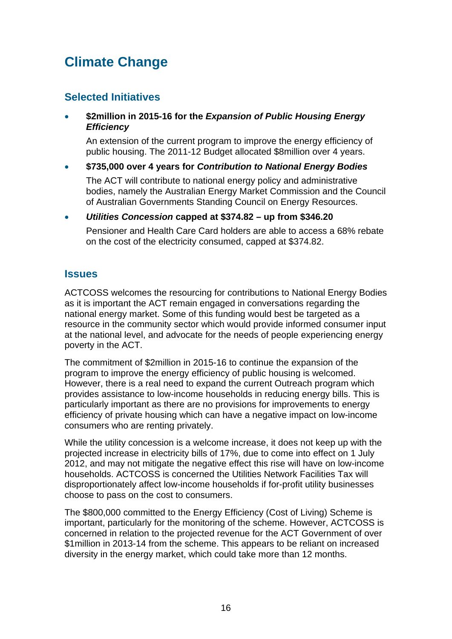## <span id="page-15-0"></span>**Climate Change**

### **Selected Initiatives**

### **\$2million in 2015-16 for the** *Expansion of Public Housing Energy Efficiency*

An extension of the current program to improve the energy efficiency of public housing. The 2011-12 Budget allocated \$8million over 4 years.

### **\$735,000 over 4 years for** *Contribution to National Energy Bodies*

The ACT will contribute to national energy policy and administrative bodies, namely the Australian Energy Market Commission and the Council of Australian Governments Standing Council on Energy Resources.

### *Utilities Concession* **capped at \$374.82 – up from \$346.20**

Pensioner and Health Care Card holders are able to access a 68% rebate on the cost of the electricity consumed, capped at \$374.82.

### **Issues**

ACTCOSS welcomes the resourcing for contributions to National Energy Bodies as it is important the ACT remain engaged in conversations regarding the national energy market. Some of this funding would best be targeted as a resource in the community sector which would provide informed consumer input at the national level, and advocate for the needs of people experiencing energy poverty in the ACT.

The commitment of \$2million in 2015-16 to continue the expansion of the program to improve the energy efficiency of public housing is welcomed. However, there is a real need to expand the current Outreach program which provides assistance to low-income households in reducing energy bills. This is particularly important as there are no provisions for improvements to energy efficiency of private housing which can have a negative impact on low-income consumers who are renting privately.

While the utility concession is a welcome increase, it does not keep up with the projected increase in electricity bills of 17%, due to come into effect on 1 July 2012, and may not mitigate the negative effect this rise will have on low-income households. ACTCOSS is concerned the Utilities Network Facilities Tax will disproportionately affect low-income households if for-profit utility businesses choose to pass on the cost to consumers.

The \$800,000 committed to the Energy Efficiency (Cost of Living) Scheme is important, particularly for the monitoring of the scheme. However, ACTCOSS is concerned in relation to the projected revenue for the ACT Government of over \$1million in 2013-14 from the scheme. This appears to be reliant on increased diversity in the energy market, which could take more than 12 months.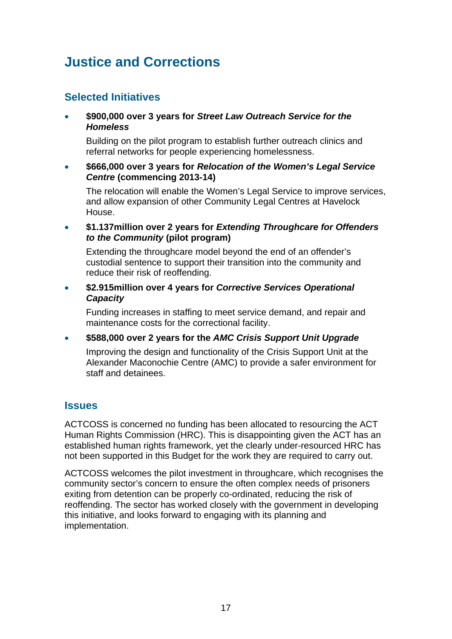## <span id="page-16-0"></span>**Justice and Corrections**

### **Selected Initiatives**

 **\$900,000 over 3 years for** *Street Law Outreach Service for the Homeless*

Building on the pilot program to establish further outreach clinics and referral networks for people experiencing homelessness.

 **\$666,000 over 3 years for** *Relocation of the Women's Legal Service Centre* **(commencing 2013-14)** 

The relocation will enable the Women's Legal Service to improve services, and allow expansion of other Community Legal Centres at Havelock House.

 **\$1.137million over 2 years for** *Extending Throughcare for Offenders to the Community* **(pilot program)**

Extending the throughcare model beyond the end of an offender's custodial sentence to support their transition into the community and reduce their risk of reoffending.

 **\$2.915million over 4 years for** *Corrective Services Operational Capacity* 

Funding increases in staffing to meet service demand, and repair and maintenance costs for the correctional facility.

**\$588,000 over 2 years for the** *AMC Crisis Support Unit Upgrade*

Improving the design and functionality of the Crisis Support Unit at the Alexander Maconochie Centre (AMC) to provide a safer environment for staff and detainees.

### **Issues**

ACTCOSS is concerned no funding has been allocated to resourcing the ACT Human Rights Commission (HRC). This is disappointing given the ACT has an established human rights framework, yet the clearly under-resourced HRC has not been supported in this Budget for the work they are required to carry out.

ACTCOSS welcomes the pilot investment in throughcare, which recognises the community sector's concern to ensure the often complex needs of prisoners exiting from detention can be properly co-ordinated, reducing the risk of reoffending. The sector has worked closely with the government in developing this initiative, and looks forward to engaging with its planning and implementation.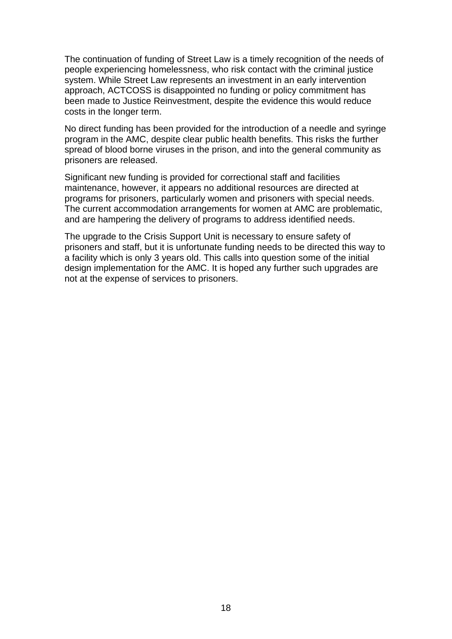The continuation of funding of Street Law is a timely recognition of the needs of people experiencing homelessness, who risk contact with the criminal justice system. While Street Law represents an investment in an early intervention approach, ACTCOSS is disappointed no funding or policy commitment has been made to Justice Reinvestment, despite the evidence this would reduce costs in the longer term.

No direct funding has been provided for the introduction of a needle and syringe program in the AMC, despite clear public health benefits. This risks the further spread of blood borne viruses in the prison, and into the general community as prisoners are released.

Significant new funding is provided for correctional staff and facilities maintenance, however, it appears no additional resources are directed at programs for prisoners, particularly women and prisoners with special needs. The current accommodation arrangements for women at AMC are problematic, and are hampering the delivery of programs to address identified needs.

The upgrade to the Crisis Support Unit is necessary to ensure safety of prisoners and staff, but it is unfortunate funding needs to be directed this way to a facility which is only 3 years old. This calls into question some of the initial design implementation for the AMC. It is hoped any further such upgrades are not at the expense of services to prisoners.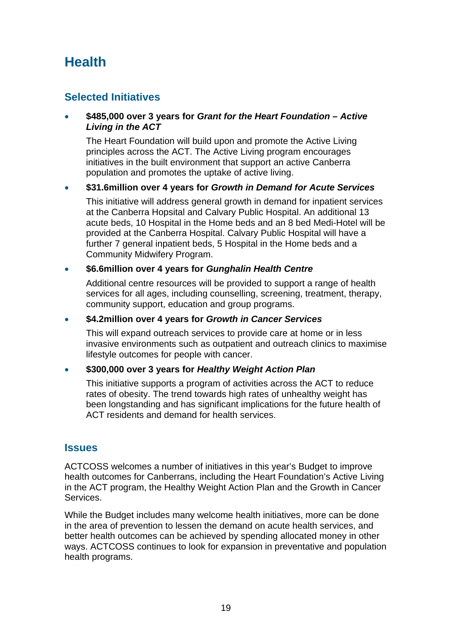## <span id="page-18-0"></span>**Health**

### **Selected Initiatives**

### **\$485,000 over 3 years for** *Grant for the Heart Foundation – Active Living in the ACT*

The Heart Foundation will build upon and promote the Active Living principles across the ACT. The Active Living program encourages initiatives in the built environment that support an active Canberra population and promotes the uptake of active living.

### **\$31.6million over 4 years for** *Growth in Demand for Acute Services*

This initiative will address general growth in demand for inpatient services at the Canberra Hopsital and Calvary Public Hospital. An additional 13 acute beds, 10 Hospital in the Home beds and an 8 bed Medi-Hotel will be provided at the Canberra Hospital. Calvary Public Hospital will have a further 7 general inpatient beds, 5 Hospital in the Home beds and a Community Midwifery Program.

### **\$6.6million over 4 years for** *Gunghalin Health Centre*

Additional centre resources will be provided to support a range of health services for all ages, including counselling, screening, treatment, therapy, community support, education and group programs.

### **\$4.2million over 4 years for** *Growth in Cancer Services*

This will expand outreach services to provide care at home or in less invasive environments such as outpatient and outreach clinics to maximise lifestyle outcomes for people with cancer.

### **\$300,000 over 3 years for** *Healthy Weight Action Plan*

This initiative supports a program of activities across the ACT to reduce rates of obesity. The trend towards high rates of unhealthy weight has been longstanding and has significant implications for the future health of ACT residents and demand for health services.

### **Issues**

ACTCOSS welcomes a number of initiatives in this year's Budget to improve health outcomes for Canberrans, including the Heart Foundation's Active Living in the ACT program, the Healthy Weight Action Plan and the Growth in Cancer Services.

While the Budget includes many welcome health initiatives, more can be done in the area of prevention to lessen the demand on acute health services, and better health outcomes can be achieved by spending allocated money in other ways. ACTCOSS continues to look for expansion in preventative and population health programs.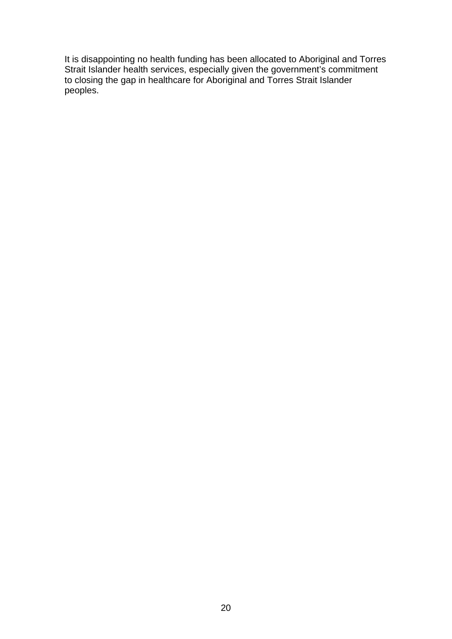It is disappointing no health funding has been allocated to Aboriginal and Torres Strait Islander health services, especially given the government's commitment to closing the gap in healthcare for Aboriginal and Torres Strait Islander peoples.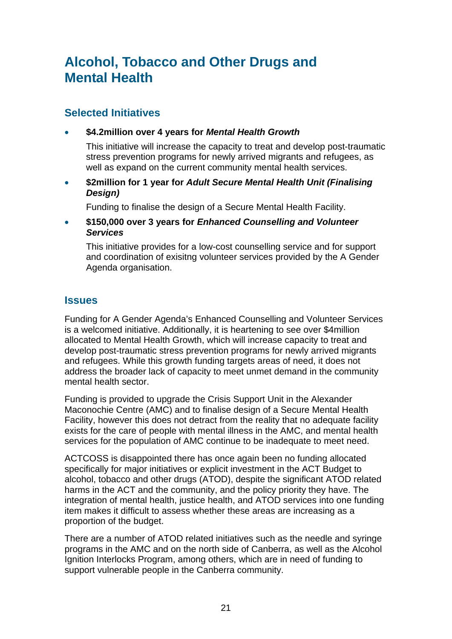## <span id="page-20-0"></span>**Alcohol, Tobacco and Other Drugs and Mental Health**

### **Selected Initiatives**

**\$4.2million over 4 years for** *Mental Health Growth* 

This initiative will increase the capacity to treat and develop post-traumatic stress prevention programs for newly arrived migrants and refugees, as well as expand on the current community mental health services.

 **\$2million for 1 year for** *Adult Secure Mental Health Unit (Finalising Design)* 

Funding to finalise the design of a Secure Mental Health Facility.

 **\$150,000 over 3 years for** *Enhanced Counselling and Volunteer Services* 

This initiative provides for a low-cost counselling service and for support and coordination of exisitng volunteer services provided by the A Gender Agenda organisation.

### **Issues**

Funding for A Gender Agenda's Enhanced Counselling and Volunteer Services is a welcomed initiative. Additionally, it is heartening to see over \$4million allocated to Mental Health Growth, which will increase capacity to treat and develop post-traumatic stress prevention programs for newly arrived migrants and refugees. While this growth funding targets areas of need, it does not address the broader lack of capacity to meet unmet demand in the community mental health sector.

Funding is provided to upgrade the Crisis Support Unit in the Alexander Maconochie Centre (AMC) and to finalise design of a Secure Mental Health Facility, however this does not detract from the reality that no adequate facility exists for the care of people with mental illness in the AMC, and mental health services for the population of AMC continue to be inadequate to meet need.

ACTCOSS is disappointed there has once again been no funding allocated specifically for major initiatives or explicit investment in the ACT Budget to alcohol, tobacco and other drugs (ATOD), despite the significant ATOD related harms in the ACT and the community, and the policy priority they have. The integration of mental health, justice health, and ATOD services into one funding item makes it difficult to assess whether these areas are increasing as a proportion of the budget.

There are a number of ATOD related initiatives such as the needle and syringe programs in the AMC and on the north side of Canberra, as well as the Alcohol Ignition Interlocks Program, among others, which are in need of funding to support vulnerable people in the Canberra community.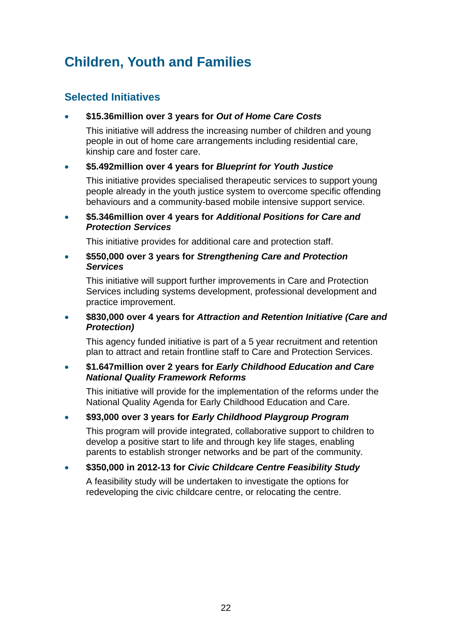## <span id="page-21-0"></span>**Children, Youth and Families**

### **Selected Initiatives**

### **\$15.36million over 3 years for** *Out of Home Care Costs*

This initiative will address the increasing number of children and young people in out of home care arrangements including residential care, kinship care and foster care.

### **\$5.492million over 4 years for** *Blueprint for Youth Justice*

This initiative provides specialised therapeutic services to support young people already in the youth justice system to overcome specific offending behaviours and a community-based mobile intensive support service.

### **\$5.346million over 4 years for** *Additional Positions for Care and Protection Services*

This initiative provides for additional care and protection staff.

#### **\$550,000 over 3 years for** *Strengthening Care and Protection Services*

This initiative will support further improvements in Care and Protection Services including systems development, professional development and practice improvement.

### **\$830,000 over 4 years for** *Attraction and Retention Initiative (Care and Protection)*

This agency funded initiative is part of a 5 year recruitment and retention plan to attract and retain frontline staff to Care and Protection Services.

### **\$1.647million over 2 years for** *Early Childhood Education and Care National Quality Framework Reforms*

This initiative will provide for the implementation of the reforms under the National Quality Agenda for Early Childhood Education and Care.

### **\$93,000 over 3 years for** *Early Childhood Playgroup Program*

This program will provide integrated, collaborative support to children to develop a positive start to life and through key life stages, enabling parents to establish stronger networks and be part of the community.

### **\$350,000 in 2012-13 for** *Civic Childcare Centre Feasibility Study*

A feasibility study will be undertaken to investigate the options for redeveloping the civic childcare centre, or relocating the centre.